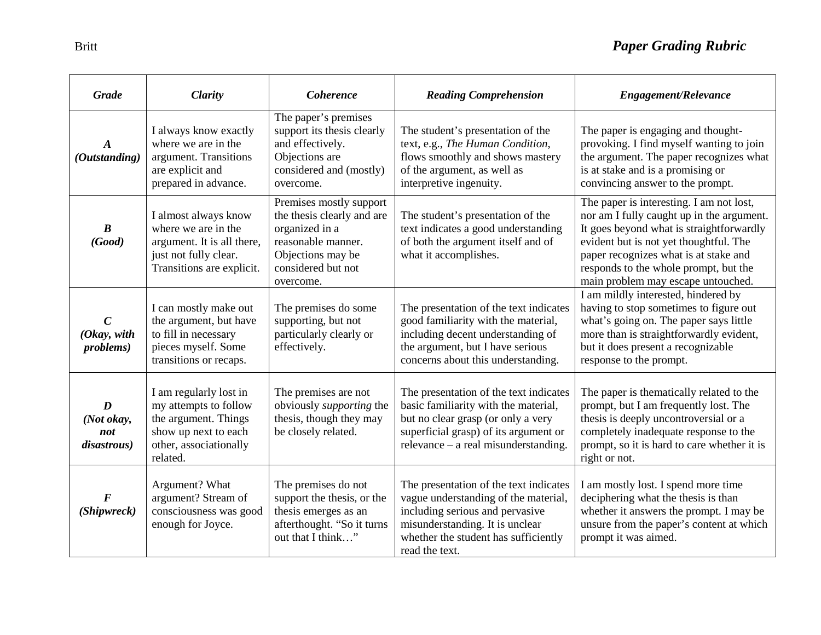| <b>Grade</b>                                     | <b>Clarity</b>                                                                                                                        | <b>Coherence</b>                                                                                                                                      | <b>Reading Comprehension</b>                                                                                                                                                                                   | <b>Engagement/Relevance</b>                                                                                                                                                                                                                                                                         |
|--------------------------------------------------|---------------------------------------------------------------------------------------------------------------------------------------|-------------------------------------------------------------------------------------------------------------------------------------------------------|----------------------------------------------------------------------------------------------------------------------------------------------------------------------------------------------------------------|-----------------------------------------------------------------------------------------------------------------------------------------------------------------------------------------------------------------------------------------------------------------------------------------------------|
| $\boldsymbol{A}$<br>(Outstanding)                | I always know exactly<br>where we are in the<br>argument. Transitions<br>are explicit and<br>prepared in advance.                     | The paper's premises<br>support its thesis clearly<br>and effectively.<br>Objections are<br>considered and (mostly)<br>overcome.                      | The student's presentation of the<br>text, e.g., The Human Condition,<br>flows smoothly and shows mastery<br>of the argument, as well as<br>interpretive ingenuity.                                            | The paper is engaging and thought-<br>provoking. I find myself wanting to join<br>the argument. The paper recognizes what<br>is at stake and is a promising or<br>convincing answer to the prompt.                                                                                                  |
| $\boldsymbol{B}$<br>(Good)                       | I almost always know<br>where we are in the<br>argument. It is all there,<br>just not fully clear.<br>Transitions are explicit.       | Premises mostly support<br>the thesis clearly and are<br>organized in a<br>reasonable manner.<br>Objections may be<br>considered but not<br>overcome. | The student's presentation of the<br>text indicates a good understanding<br>of both the argument itself and of<br>what it accomplishes.                                                                        | The paper is interesting. I am not lost,<br>nor am I fully caught up in the argument.<br>It goes beyond what is straightforwardly<br>evident but is not yet thoughtful. The<br>paper recognizes what is at stake and<br>responds to the whole prompt, but the<br>main problem may escape untouched. |
| $\mathcal C$<br>(Okay, with<br><i>problems</i> ) | I can mostly make out<br>the argument, but have<br>to fill in necessary<br>pieces myself. Some<br>transitions or recaps.              | The premises do some<br>supporting, but not<br>particularly clearly or<br>effectively.                                                                | The presentation of the text indicates<br>good familiarity with the material,<br>including decent understanding of<br>the argument, but I have serious<br>concerns about this understanding.                   | I am mildly interested, hindered by<br>having to stop sometimes to figure out<br>what's going on. The paper says little<br>more than is straightforwardly evident,<br>but it does present a recognizable<br>response to the prompt.                                                                 |
| D<br>(Not okay,<br>not<br>disastrous)            | I am regularly lost in<br>my attempts to follow<br>the argument. Things<br>show up next to each<br>other, associationally<br>related. | The premises are not<br>obviously <i>supporting</i> the<br>thesis, though they may<br>be closely related.                                             | The presentation of the text indicates<br>basic familiarity with the material,<br>but no clear grasp (or only a very<br>superficial grasp) of its argument or<br>$relevance - a real misunderstanding.$        | The paper is the matically related to the<br>prompt, but I am frequently lost. The<br>thesis is deeply uncontroversial or a<br>completely inadequate response to the<br>prompt, so it is hard to care whether it is<br>right or not.                                                                |
| F<br>(Shipwreck)                                 | Argument? What<br>argument? Stream of<br>consciousness was good<br>enough for Joyce.                                                  | The premises do not<br>support the thesis, or the<br>thesis emerges as an<br>afterthought. "So it turns<br>out that I think"                          | The presentation of the text indicates<br>vague understanding of the material,<br>including serious and pervasive<br>misunderstanding. It is unclear<br>whether the student has sufficiently<br>read the text. | I am mostly lost. I spend more time<br>deciphering what the thesis is than<br>whether it answers the prompt. I may be<br>unsure from the paper's content at which<br>prompt it was aimed.                                                                                                           |